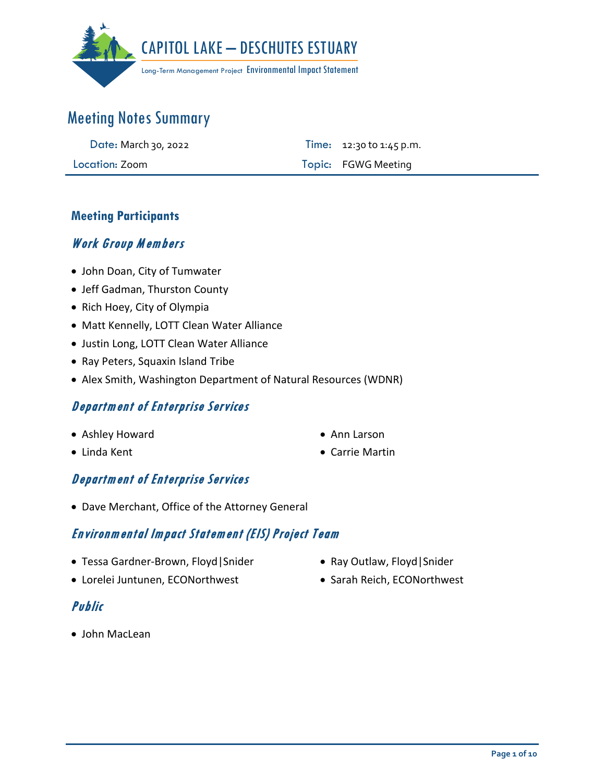

| Date: March 30, 2022 | <b>Time:</b> $12:30$ to $1:45$ p.m. |
|----------------------|-------------------------------------|
| Location: Zoom       | Topic: FGWG Meeting                 |

### **Meeting Participants**

### Work Group Members

- John Doan, City of Tumwater
- Jeff Gadman, Thurston County
- Rich Hoey, City of Olympia
- Matt Kennelly, LOTT Clean Water Alliance
- Justin Long, LOTT Clean Water Alliance
- Ray Peters, Squaxin Island Tribe
- Alex Smith, Washington Department of Natural Resources (WDNR)

### Department of Enterprise Services

- Ashley Howard
- Linda Kent
- Ann Larson
- Carrie Martin

### Department of Enterprise Services

• Dave Merchant, Office of the Attorney General

### Environmental Impact Statement (EIS) Project Team

- Tessa Gardner-Brown, Floyd|Snider
- Lorelei Juntunen, ECONorthwest
- Ray Outlaw, Floyd|Snider
- Sarah Reich, ECONorthwest

### Public

• John MacLean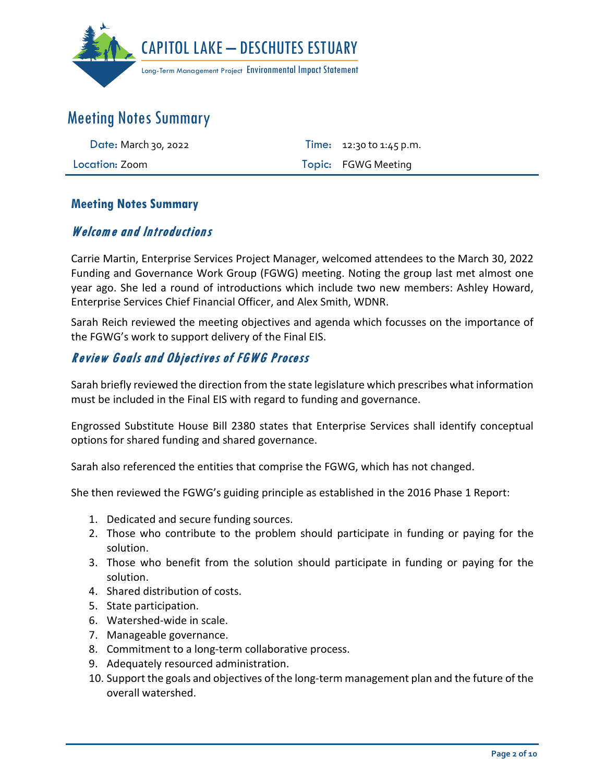

| Date: March 30, 2022 | Time: $12:30$ to $1:45$ p.m. |
|----------------------|------------------------------|
| Location: Zoom       | Topic: FGWG Meeting          |

#### **Meeting Notes Summary**

### Welcome and Introductions

Carrie Martin, Enterprise Services Project Manager, welcomed attendees to the March 30, 2022 Funding and Governance Work Group (FGWG) meeting. Noting the group last met almost one year ago. She led a round of introductions which include two new members: Ashley Howard, Enterprise Services Chief Financial Officer, and Alex Smith, WDNR.

Sarah Reich reviewed the meeting objectives and agenda which focusses on the importance of the FGWG's work to support delivery of the Final EIS.

### Review Goals and Objectives of FGWG Process

Sarah briefly reviewed the direction from the state legislature which prescribes what information must be included in the Final EIS with regard to funding and governance.

Engrossed Substitute House Bill 2380 states that Enterprise Services shall identify conceptual options for shared funding and shared governance.

Sarah also referenced the entities that comprise the FGWG, which has not changed.

She then reviewed the FGWG's guiding principle as established in the 2016 Phase 1 Report:

- 1. Dedicated and secure funding sources.
- 2. Those who contribute to the problem should participate in funding or paying for the solution.
- 3. Those who benefit from the solution should participate in funding or paying for the solution.
- 4. Shared distribution of costs.
- 5. State participation.
- 6. Watershed-wide in scale.
- 7. Manageable governance.
- 8. Commitment to a long-term collaborative process.
- 9. Adequately resourced administration.
- 10. Support the goals and objectives of the long-term management plan and the future of the overall watershed.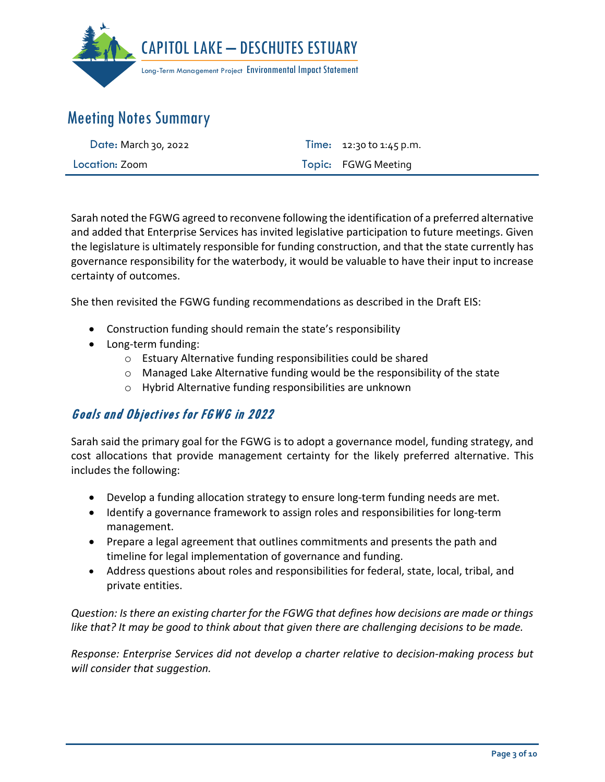

| <b>Date: March 30, 2022</b> | Time: $12:30$ to $1:45$ p.m. |
|-----------------------------|------------------------------|
| Location: Zoom              | Topic: FGWG Meeting          |

Sarah noted the FGWG agreed to reconvene following the identification of a preferred alternative and added that Enterprise Services has invited legislative participation to future meetings. Given the legislature is ultimately responsible for funding construction, and that the state currently has governance responsibility for the waterbody, it would be valuable to have their input to increase certainty of outcomes.

She then revisited the FGWG funding recommendations as described in the Draft EIS:

- Construction funding should remain the state's responsibility
- Long-term funding:
	- o Estuary Alternative funding responsibilities could be shared
	- $\circ$  Managed Lake Alternative funding would be the responsibility of the state
	- o Hybrid Alternative funding responsibilities are unknown

## Goals and Objectives for FGWG in 2022

Sarah said the primary goal for the FGWG is to adopt a governance model, funding strategy, and cost allocations that provide management certainty for the likely preferred alternative. This includes the following:

- Develop a funding allocation strategy to ensure long-term funding needs are met.
- Identify a governance framework to assign roles and responsibilities for long-term management.
- Prepare a legal agreement that outlines commitments and presents the path and timeline for legal implementation of governance and funding.
- Address questions about roles and responsibilities for federal, state, local, tribal, and private entities.

*Question: Is there an existing charter for the FGWG that defines how decisions are made or things like that? It may be good to think about that given there are challenging decisions to be made.* 

*Response: Enterprise Services did not develop a charter relative to decision-making process but will consider that suggestion.*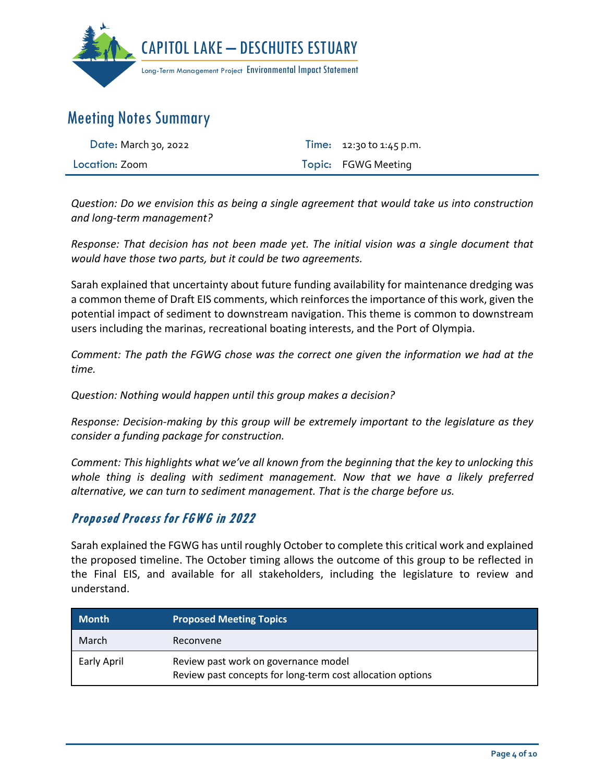

| Date: March 30, 2022 | <b>Time:</b> $12:30$ to $1:45$ p.m. |
|----------------------|-------------------------------------|
| Location: Zoom       | Topic: FGWG Meeting                 |

*Question: Do we envision this as being a single agreement that would take us into construction and long-term management?*

*Response: That decision has not been made yet. The initial vision was a single document that would have those two parts, but it could be two agreements.* 

Sarah explained that uncertainty about future funding availability for maintenance dredging was a common theme of Draft EIS comments, which reinforces the importance of this work, given the potential impact of sediment to downstream navigation. This theme is common to downstream users including the marinas, recreational boating interests, and the Port of Olympia.

*Comment: The path the FGWG chose was the correct one given the information we had at the time.* 

*Question: Nothing would happen until this group makes a decision?*

*Response: Decision-making by this group will be extremely important to the legislature as they consider a funding package for construction.*

*Comment: This highlights what we've all known from the beginning that the key to unlocking this whole thing is dealing with sediment management. Now that we have a likely preferred alternative, we can turn to sediment management. That is the charge before us.*

## Proposed Process for FGWG in 2022

Sarah explained the FGWG has until roughly October to complete this critical work and explained the proposed timeline. The October timing allows the outcome of this group to be reflected in the Final EIS, and available for all stakeholders, including the legislature to review and understand.

| <b>Month</b> | <b>Proposed Meeting Topics</b>                                                                     |
|--------------|----------------------------------------------------------------------------------------------------|
| March        | Reconvene                                                                                          |
| Early April  | Review past work on governance model<br>Review past concepts for long-term cost allocation options |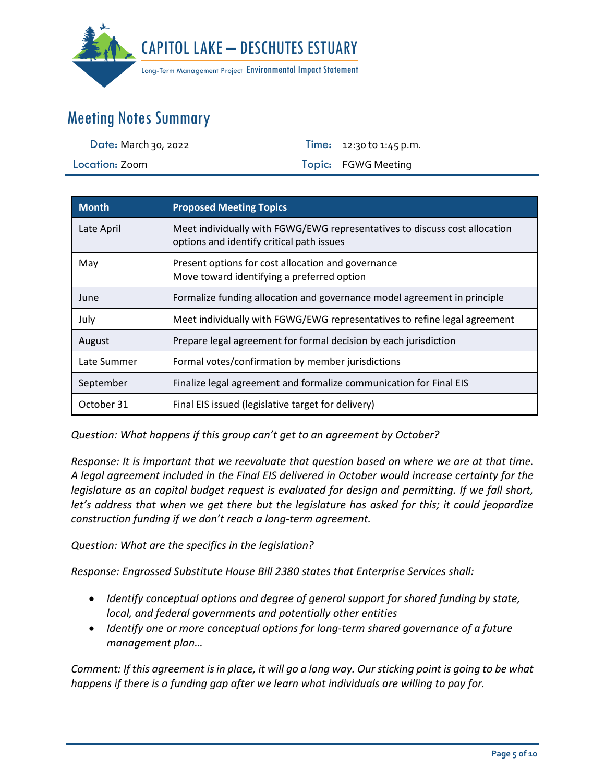

| Date: March 30, 2022 | <b>Time:</b> $12:30$ to $1:45$ p.m. |
|----------------------|-------------------------------------|
| Location: Zoom       | Topic: FGWG Meeting                 |

| <b>Month</b> | <b>Proposed Meeting Topics</b>                                                                                          |
|--------------|-------------------------------------------------------------------------------------------------------------------------|
| Late April   | Meet individually with FGWG/EWG representatives to discuss cost allocation<br>options and identify critical path issues |
| May          | Present options for cost allocation and governance<br>Move toward identifying a preferred option                        |
| June         | Formalize funding allocation and governance model agreement in principle                                                |
| July         | Meet individually with FGWG/EWG representatives to refine legal agreement                                               |
| August       | Prepare legal agreement for formal decision by each jurisdiction                                                        |
| Late Summer  | Formal votes/confirmation by member jurisdictions                                                                       |
| September    | Finalize legal agreement and formalize communication for Final EIS                                                      |
| October 31   | Final EIS issued (legislative target for delivery)                                                                      |

*Question: What happens if this group can't get to an agreement by October?*

*Response: It is important that we reevaluate that question based on where we are at that time. A legal agreement included in the Final EIS delivered in October would increase certainty for the legislature as an capital budget request is evaluated for design and permitting. If we fall short, let's address that when we get there but the legislature has asked for this; it could jeopardize construction funding if we don't reach a long-term agreement.* 

*Question: What are the specifics in the legislation?*

*Response: Engrossed Substitute House Bill 2380 states that Enterprise Services shall:* 

- *Identify conceptual options and degree of general support for shared funding by state, local, and federal governments and potentially other entities*
- *Identify one or more conceptual options for long-term shared governance of a future management plan…*

*Comment: If this agreement is in place, it will go a long way. Our sticking point is going to be what happens if there is a funding gap after we learn what individuals are willing to pay for.*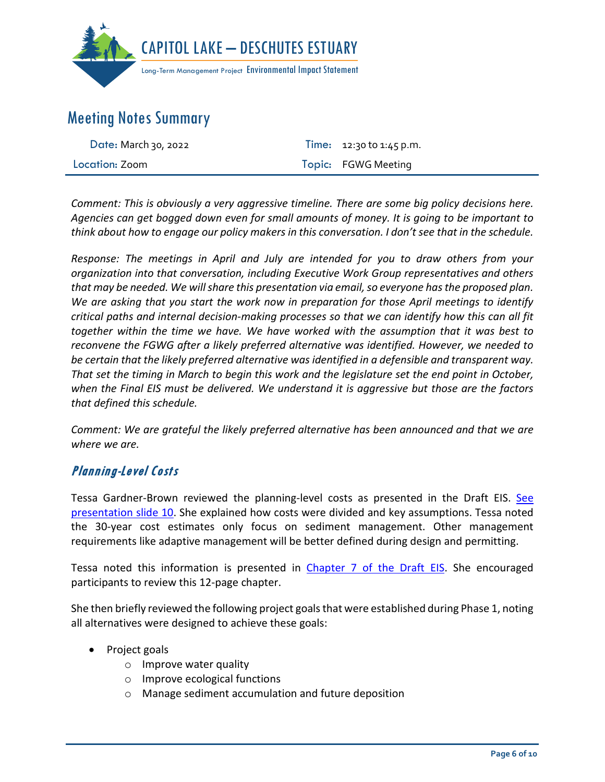

| Date: March 30, 2022 | <b>Time:</b> 12:30 to 1:45 p.m. |
|----------------------|---------------------------------|
| Location: Zoom       | Topic: FGWG Meeting             |

*Comment: This is obviously a very aggressive timeline. There are some big policy decisions here. Agencies can get bogged down even for small amounts of money. It is going to be important to think about how to engage our policy makers in this conversation. I don't see that in the schedule.* 

*Response: The meetings in April and July are intended for you to draw others from your organization into that conversation, including Executive Work Group representatives and others*  that may be needed. We will share this presentation via email, so everyone has the proposed plan. *We are asking that you start the work now in preparation for those April meetings to identify critical paths and internal decision-making processes so that we can identify how this can all fit together within the time we have. We have worked with the assumption that it was best to reconvene the FGWG after a likely preferred alternative was identified. However, we needed to be certain that the likely preferred alternative was identified in a defensible and transparent way. That set the timing in March to begin this work and the legislature set the end point in October, when the Final EIS must be delivered. We understand it is aggressive but those are the factors that defined this schedule.* 

*Comment: We are grateful the likely preferred alternative has been announced and that we are where we are.*

### Planning-Level Costs

Tessa Gardner-Brown reviewed the planning-level costs as presented in the Draft EIS. See [presentation slide 10.](https://capitollakedeschutesestuaryeis.org/Media/Default/documents/CLDE_EIS_FGWG_Presentation_2022-0330_final.pdf) She explained how costs were divided and key assumptions. Tessa noted the 30-year cost estimates only focus on sediment management. Other management requirements like adaptive management will be better defined during design and permitting.

Tessa noted this information is presented in Chapter 7 [of the Draft EIS.](https://capitollakedeschutesestuaryeis.org/Media/Default/DraftEIS/11-Capitol-Lake-Deschutes-Estuary-Draft-EIS-Chapter-7.pdf) She encouraged participants to review this 12-page chapter.

She then briefly reviewed the following project goals that were established during Phase 1, noting all alternatives were designed to achieve these goals:

- Project goals
	- o Improve water quality
	- o Improve ecological functions
	- o Manage sediment accumulation and future deposition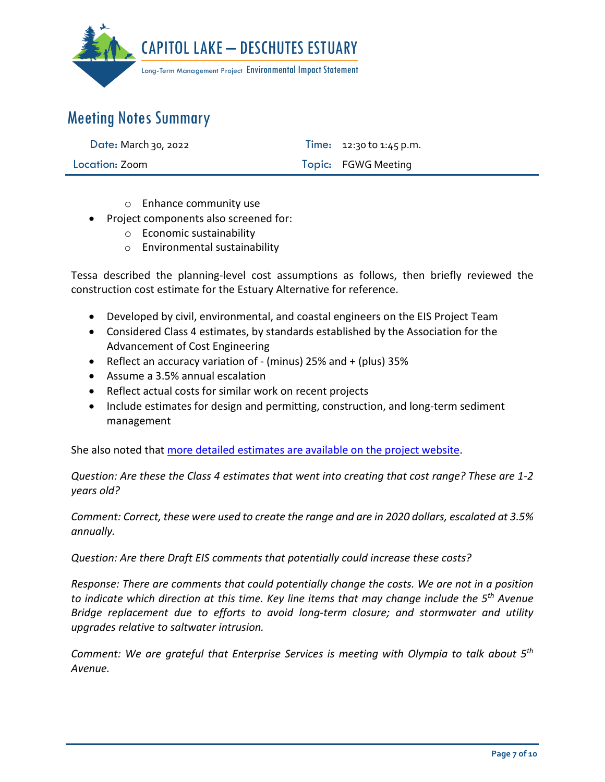

| Date: March 30, 2022 | Time: $12:30$ to $1:45$ p.m. |
|----------------------|------------------------------|
| Location: Zoom       | Topic: FGWG Meeting          |

- o Enhance community use
- Project components also screened for:
	- o Economic sustainability
	- o Environmental sustainability

Tessa described the planning-level cost assumptions as follows, then briefly reviewed the construction cost estimate for the Estuary Alternative for reference.

- Developed by civil, environmental, and coastal engineers on the EIS Project Team
- Considered Class 4 estimates, by standards established by the Association for the Advancement of Cost Engineering
- Reflect an accuracy variation of (minus) 25% and + (plus) 35%
- Assume a 3.5% annual escalation
- Reflect actual costs for similar work on recent projects
- Include estimates for design and permitting, construction, and long-term sediment management

She also noted that [more detailed estimates are available on the project website.](https://capitollakedeschutesestuaryeis.org/library#accord-deis-sups)

*Question: Are these the Class 4 estimates that went into creating that cost range? These are 1-2 years old?*

*Comment: Correct, these were used to create the range and are in 2020 dollars, escalated at 3.5% annually.*

*Question: Are there Draft EIS comments that potentially could increase these costs?* 

*Response: There are comments that could potentially change the costs. We are not in a position to indicate which direction at this time. Key line items that may change include the 5th Avenue Bridge replacement due to efforts to avoid long-term closure; and stormwater and utility upgrades relative to saltwater intrusion.* 

*Comment: We are grateful that Enterprise Services is meeting with Olympia to talk about 5th Avenue.*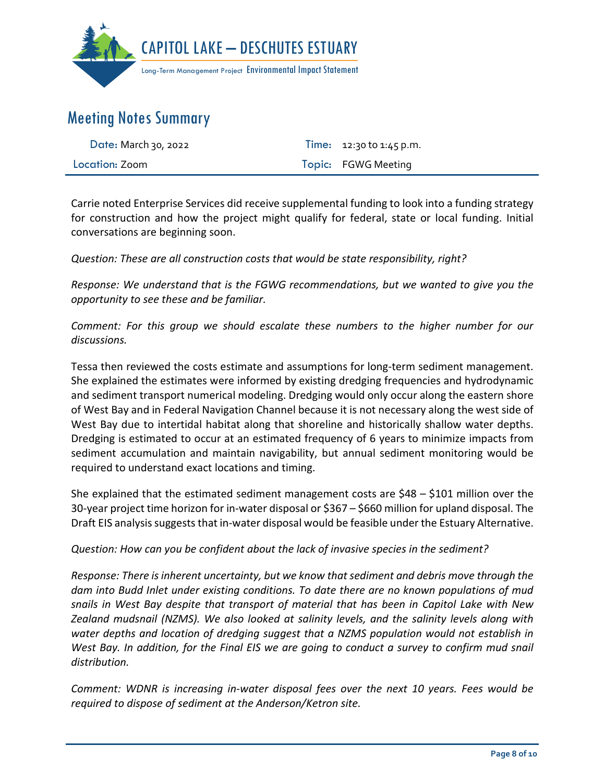

| Date: March 30, 2022 | Time: $12:30$ to $1:45$ p.m. |
|----------------------|------------------------------|
| Location: Zoom       | Topic: FGWG Meeting          |

Carrie noted Enterprise Services did receive supplemental funding to look into a funding strategy for construction and how the project might qualify for federal, state or local funding. Initial conversations are beginning soon.

*Question: These are all construction costs that would be state responsibility, right?*

*Response: We understand that is the FGWG recommendations, but we wanted to give you the opportunity to see these and be familiar.*

*Comment: For this group we should escalate these numbers to the higher number for our discussions.*

Tessa then reviewed the costs estimate and assumptions for long-term sediment management. She explained the estimates were informed by existing dredging frequencies and hydrodynamic and sediment transport numerical modeling. Dredging would only occur along the eastern shore of West Bay and in Federal Navigation Channel because it is not necessary along the west side of West Bay due to intertidal habitat along that shoreline and historically shallow water depths. Dredging is estimated to occur at an estimated frequency of 6 years to minimize impacts from sediment accumulation and maintain navigability, but annual sediment monitoring would be required to understand exact locations and timing.

She explained that the estimated sediment management costs are \$48 – \$101 million over the 30-year project time horizon for in-water disposal or \$367 – \$660 million for upland disposal. The Draft EIS analysis suggests that in-water disposal would be feasible under the Estuary Alternative.

*Question: How can you be confident about the lack of invasive species in the sediment?*

*Response: There is inherent uncertainty, but we know that sediment and debris move through the dam into Budd Inlet under existing conditions. To date there are no known populations of mud snails in West Bay despite that transport of material that has been in Capitol Lake with New Zealand mudsnail (NZMS). We also looked at salinity levels, and the salinity levels along with water depths and location of dredging suggest that a NZMS population would not establish in West Bay. In addition, for the Final EIS we are going to conduct a survey to confirm mud snail distribution.* 

*Comment: WDNR is increasing in-water disposal fees over the next 10 years. Fees would be required to dispose of sediment at the Anderson/Ketron site.*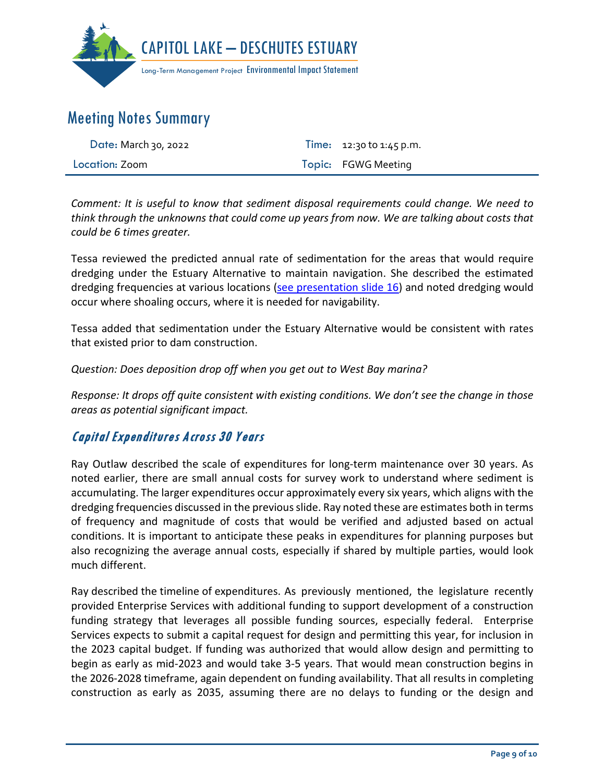

| Date: March 30, 2022 | <b>Time:</b> $12:30$ to $1:45$ p.m. |  |
|----------------------|-------------------------------------|--|
| Location: Zoom       | Topic: FGWG Meeting                 |  |

*Comment: It is useful to know that sediment disposal requirements could change. We need to think through the unknowns that could come up years from now. We are talking about costs that could be 6 times greater.*

Tessa reviewed the predicted annual rate of sedimentation for the areas that would require dredging under the Estuary Alternative to maintain navigation. She described the estimated dredging frequencies at various locations [\(see presentation slide 16\)](https://capitollakedeschutesestuaryeis.org/Media/Default/documents/CLDE_EIS_FGWG_Presentation_2022-0330_final.pdf) and noted dredging would occur where shoaling occurs, where it is needed for navigability.

Tessa added that sedimentation under the Estuary Alternative would be consistent with rates that existed prior to dam construction.

*Question: Does deposition drop off when you get out to West Bay marina?*

*Response: It drops off quite consistent with existing conditions. We don't see the change in those areas as potential significant impact.*

## Capital Expenditures Across 30 Years

Ray Outlaw described the scale of expenditures for long-term maintenance over 30 years. As noted earlier, there are small annual costs for survey work to understand where sediment is accumulating. The larger expenditures occur approximately every six years, which aligns with the dredging frequencies discussed in the previous slide. Ray noted these are estimates both in terms of frequency and magnitude of costs that would be verified and adjusted based on actual conditions. It is important to anticipate these peaks in expenditures for planning purposes but also recognizing the average annual costs, especially if shared by multiple parties, would look much different.

Ray described the timeline of expenditures. As previously mentioned, the legislature recently provided Enterprise Services with additional funding to support development of a construction funding strategy that leverages all possible funding sources, especially federal. Enterprise Services expects to submit a capital request for design and permitting this year, for inclusion in the 2023 capital budget. If funding was authorized that would allow design and permitting to begin as early as mid-2023 and would take 3-5 years. That would mean construction begins in the 2026-2028 timeframe, again dependent on funding availability. That all results in completing construction as early as 2035, assuming there are no delays to funding or the design and